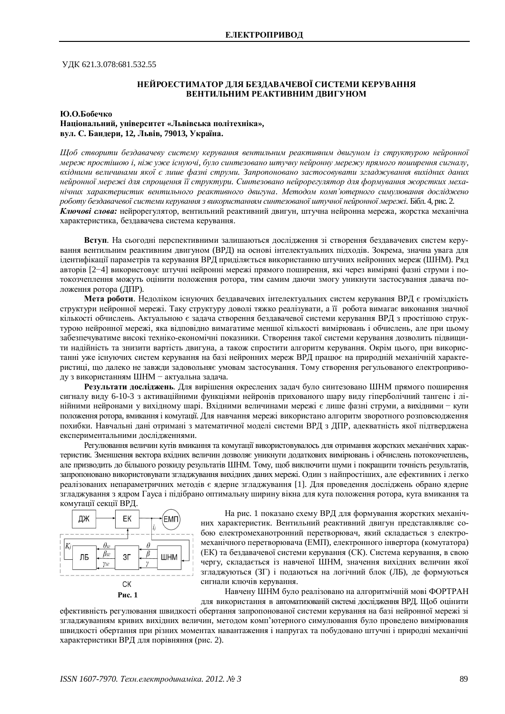УДК 621.3.078:681.532.55

## НЕЙРОЕСТИМАТОР ЛЛЯ БЕЗЛАВАЧЕВОЇ СИСТЕМИ КЕРУВАННЯ ВЕНТИЛЬНИМ РЕАКТИВНИМ ДВИГУНОМ

#### **Ю.О.Бобечко**

### **ɇɚɰɿɨɧɚɥɶɧɢɣ, ɭɧɿɜɟɪɫɢɬɟɬ «Ʌɶɜɿɜɫɶɤɚɩɨɥɿɬɟɯɧɿɤɚ»,**  $B$ ул. С. Бандери, 12, Львів, 79013, Україна.

**Щоб створити бездавачеву систему керування вентильним реактивним двигуном із структурою нейронної** мереж простішою і, ніж уже існуючі, було синтезовано штучну нейронну мережу прямого поширення сигналу, вхідними величинами якої є лише фазні струми. Запропоновано застосовувати згладжування вихідних даних нейронної мережі для спрощення її структури. Синтезовано нейрорегулятор для формування жорстких меха- $\mu$ iчних характеристик вентильного реактивного двигуна. Методом комп'ютерного симулювання досліджено *роботу бездавачевої системи керування з використанням синтезованої штучної нейронної мережі.* Бібл. 4, рис. 2. Ключові слова: нейрорегулятор, вентильний реактивний двигун, штучна нейронна мережа, жорстка механічна характеристика, бездавачева система керування.

Вступ. На сьогодні перспективними залишаються дослідження зі створення бездавачевих систем керування вентильним реактивним двигуном (ВРД) на основі інтелектуальних підходів. Зокрема, значна увага для ідентифікації параметрів та керування ВРД приділяється використанню штучних нейронних мереж (ШНМ). Ряд авторів [2-4] використовує штучні нейронні мережі прямого поширення, які через виміряні фазні струми і потокозчеплення можуть оцінити положення ротора, тим самим даючи змогу уникнути застосування давача положення ротора (ДПР).

**Мета роботи**. Недоліком існуючих бездавачевих інтелектуальних систем керування ВРД є громіздкість структури нейронної мережі. Таку структуру доволі тяжко реалізувати, а її робота вимагає виконання значної кількості обчислень. Актуальною є задача створення бездавачевої системи керування ВРД з простішою структурою нейронної мережі, яка відповідно вимагатиме меншої кількості вимірювань і обчислень, але при цьому забезпечуватиме високі техніко-економічні показники. Створення такої системи керування дозволить підвищити надійність та знизити вартість двигуна, а також спростити алгоритм керування. Окрім цього, при використанні уже існуючих систем керування на базі нейронних мереж ВРД працює на природній механічній характеристиці, що далеко не завжди задовольняє умовам застосування. Тому створення регульованого електроприводу з використанням ШНМ - актуальна залача.

Результати досліджень. Для вирішення окреслених задач було синтезовано ШНМ прямого поширення сигналу виду 6-10-3 з активаційними функціями нейронів прихованого шару виду гіперболічний тангенс і лінійними нейронами у вихідному шарі. Вхідними величинами мережі є лише фазні струми, а вихідними – кути положення ротора, вмикання і комутації. Для навчання мережі використано алгоритм зворотного розповсюдження похибки. Навчальні дані отримані з математичної моделі системи ВРД з ДПР, адекватність якої підтверджена експериментальними дослідженнями.

Регулювання величин кутів вмикання та комутації використовувалось для отримання жорстких механічних характеристик. Зменшення вектора вхідних величин дозволяє уникнути додаткових вимірювань і обчислень потокозчеплень, але призводить до більшого розкиду результатів ШНМ. Тому, щоб виключити шуми і покращити точність результатів, запропоновано використовувати згладжування вихідних даних мережі. Один з найпростіших, але ефективних і легко реалізованих непараметричних методів є ядерне згладжування [1]. Для проведення досліджень обрано ядерне згладжування з ядром Гауса і підібрано оптимальну ширину вікна для кута положення ротора, кута вмикання та комутації секції ВРД.



На рис. 1 показано схему ВРД для формування жорстких механічних характеристик. Вентильний реактивний двигун представлявляє собою електромеханотронний перетворювач, який складається з електромеханічного перетворювача (ЕМП), електронного інвертора (комутатора) (ЕК) та бездавачевої системи керування (СК). Система керування, в свою чергу, складається із навченої ШНМ, значення вихідних величин якої згладжуються (ЗГ) і подаються на логічний блок (ЛБ), де формуються сигнали ключів керування.

Навчену ШНМ було реалізовано на алгоритмічній мові ФОРТРАН для використання в автоматизованій системі дослідження ВРД. Щоб оцінити

ефективність регулювання швидкості обертання запропонованої системи керування на базі нейронної мережі зі згладжуванням кривих вихідних величин, методом комп'ютерного симулювання було проведено вимірювання швидкості обертання при різних моментах навантаження і напругах та побудовано штучні і природні механічні характеристики ВРД для порівняння (рис. 2).